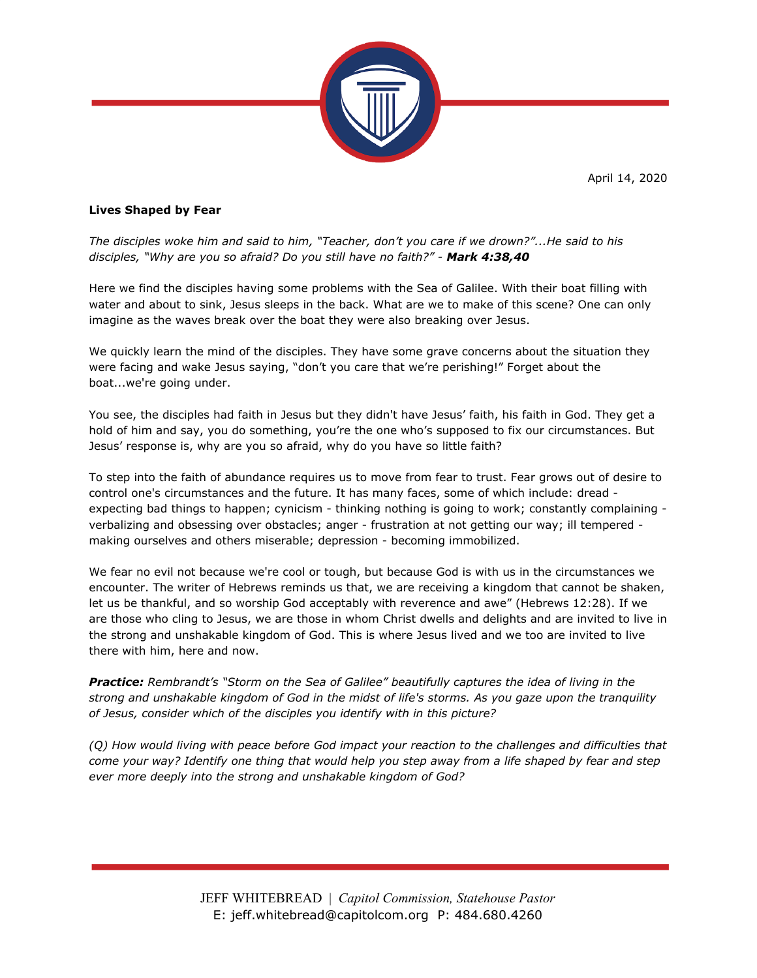April 14, 2020



## **Lives Shaped by Fear**

*The disciples woke him and said to him, "Teacher, don't you care if we drown?"...He said to his disciples, "Why are you so afraid? Do you still have no faith?" - Mark 4:38,40*

Here we find the disciples having some problems with the Sea of Galilee. With their boat filling with water and about to sink, Jesus sleeps in the back. What are we to make of this scene? One can only imagine as the waves break over the boat they were also breaking over Jesus.

We quickly learn the mind of the disciples. They have some grave concerns about the situation they were facing and wake Jesus saying, "don't you care that we're perishing!" Forget about the boat...we're going under.

You see, the disciples had faith in Jesus but they didn't have Jesus' faith, his faith in God. They get a hold of him and say, you do something, you're the one who's supposed to fix our circumstances. But Jesus' response is, why are you so afraid, why do you have so little faith?

To step into the faith of abundance requires us to move from fear to trust. Fear grows out of desire to control one's circumstances and the future. It has many faces, some of which include: dread expecting bad things to happen; cynicism - thinking nothing is going to work; constantly complaining verbalizing and obsessing over obstacles; anger - frustration at not getting our way; ill tempered making ourselves and others miserable; depression - becoming immobilized.

We fear no evil not because we're cool or tough, but because God is with us in the circumstances we encounter. The writer of Hebrews reminds us that, we are receiving a kingdom that cannot be shaken, let us be thankful, and so worship God acceptably with reverence and awe" (Hebrews 12:28). If we are those who cling to Jesus, we are those in whom Christ dwells and delights and are invited to live in the strong and unshakable kingdom of God. This is where Jesus lived and we too are invited to live there with him, here and now.

*Practice: Rembrandt's "Storm on the Sea of Galilee" beautifully captures the idea of living in the strong and unshakable kingdom of God in the midst of life's storms. As you gaze upon the tranquility of Jesus, consider which of the disciples you identify with in this picture?*

*(Q) How would living with peace before God impact your reaction to the challenges and difficulties that come your way? Identify one thing that would help you step away from a life shaped by fear and step ever more deeply into the strong and unshakable kingdom of God?*